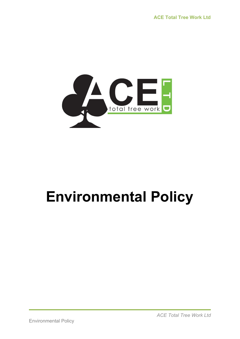

# **Environmental Policy**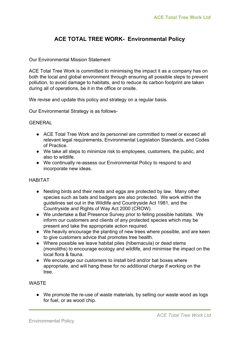# **ACE TOTAL TREE WORK- Environmental Policy**

#### Our Environmental Mission Statement

ACE Total Tree Work is committed to minimising the impact it as a company has on both the local and global environment through ensuring all possible steps to prevent pollution, to avoid damage to habitats, and to reduce its carbon footprint are taken during all of operations, be it in the office or onsite.

We revise and update this policy and strategy on a regular basis.

Our Environmental Strategy is as follows-

#### **GENERAL**

- ACE Total Tree Work and its personnel are committed to meet or exceed all relevant legal requirements, Environmental Legislation Standards, and Codes of Practice.
- We take all steps to minimize risk to employees, customers, the public, and also to wildlife.
- We continually re-assess our Environmental Policy to respond to and incorporate new ideas.

#### HABITAT

- Nesting birds and their nests and eggs are protected by law. Many other species such as bats and badgers are also protected. We work within the guidelines set out in the Wildlife and Countryside Act 1981, and the Countryside and Rights of Way Act 2000 (CROW).
- We undertake a Bat Presence Survey prior to felling possible habitats. We inform our customers and clients of any protected species which may be present and take the appropriate action required.
- We heavily encourage the planting of new trees where possible, and are keen to give customers advice that promotes tree health.
- Where possible we leave habitat piles (hibernacula) or dead stems (monoliths) to encourage ecology and wildlife, and minimise the impact on the local flora & fauna.
- We encourage our customers to install bird and/or bat boxes where appropriate, and will hang these for no additional charge if working on the tree.

### WASTE

● We promote the re-use of waste materials, by selling our waste wood as logs for fuel, or as wood chip.